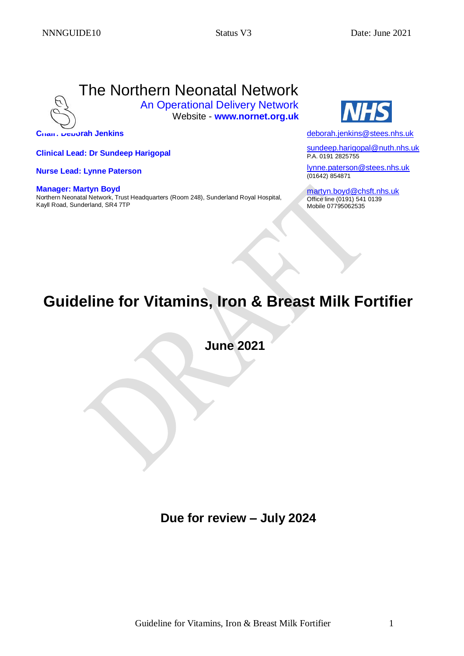# The Northern Neonatal Network

An Operational Delivery Network Website - **www.nornet.org.uk**

 **Chair: Deborah Jenkins**

 **Clinical Lead: Dr Sundeep Harigopal**

 **Nurse Lead: Lynne Paterson**

**Manager: Martyn Boyd** Northern Neonatal Network, Trust Headquarters (Room 248), Sunderland Royal Hospital, Kayll Road, Sunderland, SR4 7TP



[deborah.jenkins@stees.nhs.uk](mailto:deborah.jenkins@stees.nhs.uk)

[sundeep.harigopal@nuth.nhs.uk](mailto:sundeep.harigopal@nuth.nhs.uk) P.A. 0191 2825755

[lynne.paterson@stees.nhs.uk](mailto:lynne.paterson@stees.nhs.uk) (01642) 854871

[martyn.boyd@chsft.nhs.uk](mailto:martyn.boyd@chsft.nhs.uk) Office line (0191) 541 0139 Mobile 07795062535

# **Guideline for Vitamins, Iron & Breast Milk Fortifier**

 **June 2021**

 **Due for review – July 2024**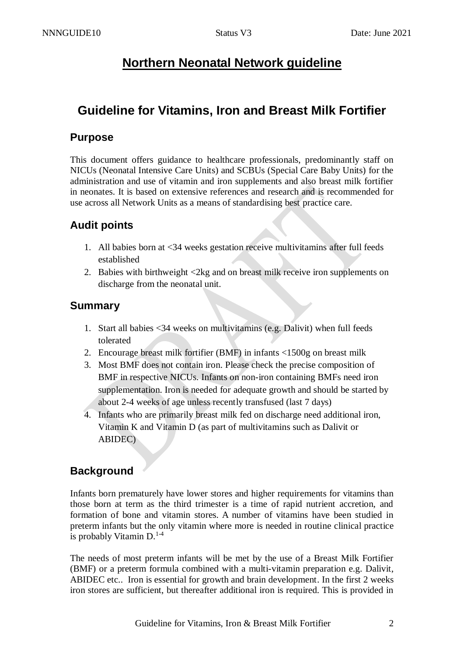# **Northern Neonatal Network guideline**

# **Guideline for Vitamins, Iron and Breast Milk Fortifier**

## **Purpose**

This document offers guidance to healthcare professionals, predominantly staff on NICUs (Neonatal Intensive Care Units) and SCBUs (Special Care Baby Units) for the administration and use of vitamin and iron supplements and also breast milk fortifier in neonates. It is based on extensive references and research and is recommended for use across all Network Units as a means of standardising best practice care.

# **Audit points**

- 1. All babies born at <34 weeks gestation receive multivitamins after full feeds established
- 2. Babies with birthweight <2kg and on breast milk receive iron supplements on discharge from the neonatal unit.

## **Summary**

- 1. Start all babies <34 weeks on multivitamins (e.g. Dalivit) when full feeds tolerated
- 2. Encourage breast milk fortifier (BMF) in infants <1500g on breast milk
- 3. Most BMF does not contain iron. Please check the precise composition of BMF in respective NICUs. Infants on non-iron containing BMFs need iron supplementation. Iron is needed for adequate growth and should be started by about 2-4 weeks of age unless recently transfused (last 7 days)
- 4. Infants who are primarily breast milk fed on discharge need additional iron, Vitamin K and Vitamin D (as part of multivitamins such as Dalivit or ABIDEC)

# **Background**

Infants born prematurely have lower stores and higher requirements for vitamins than those born at term as the third trimester is a time of rapid nutrient accretion, and formation of bone and vitamin stores. A number of vitamins have been studied in preterm infants but the only vitamin where more is needed in routine clinical practice is probably Vitamin  $D^{1-4}$ .

The needs of most preterm infants will be met by the use of a Breast Milk Fortifier (BMF) or a preterm formula combined with a multi-vitamin preparation e.g. Dalivit, ABIDEC etc.. Iron is essential for growth and brain development. In the first 2 weeks iron stores are sufficient, but thereafter additional iron is required. This is provided in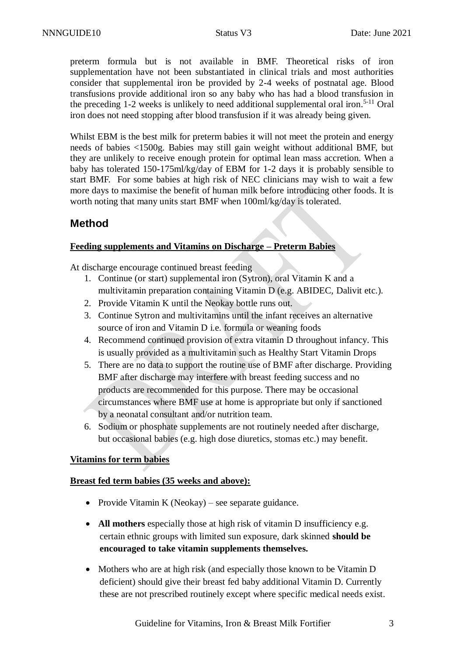preterm formula but is not available in BMF. Theoretical risks of iron supplementation have not been substantiated in clinical trials and most authorities consider that supplemental iron be provided by 2-4 weeks of postnatal age. Blood transfusions provide additional iron so any baby who has had a blood transfusion in the preceding 1-2 weeks is unlikely to need additional supplemental oral iron.<sup>5-11</sup> Oral iron does not need stopping after blood transfusion if it was already being given.

Whilst EBM is the best milk for preterm babies it will not meet the protein and energy needs of babies <1500g. Babies may still gain weight without additional BMF, but they are unlikely to receive enough protein for optimal lean mass accretion. When a baby has tolerated 150-175ml/kg/day of EBM for 1-2 days it is probably sensible to start BMF. For some babies at high risk of NEC clinicians may wish to wait a few more days to maximise the benefit of human milk before introducing other foods. It is worth noting that many units start BMF when 100ml/kg/day is tolerated.

# **Method**

#### **Feeding supplements and Vitamins on Discharge – Preterm Babies**

At discharge encourage continued breast feeding

- 1. Continue (or start) supplemental iron (Sytron), oral Vitamin K and a multivitamin preparation containing Vitamin D (e.g. ABIDEC, Dalivit etc.).
- 2. Provide Vitamin K until the Neokay bottle runs out.
- 3. Continue Sytron and multivitamins until the infant receives an alternative source of iron and Vitamin D i.e. formula or weaning foods
- 4. Recommend continued provision of extra vitamin D throughout infancy. This is usually provided as a multivitamin such as Healthy Start Vitamin Drops
- 5. There are no data to support the routine use of BMF after discharge. Providing BMF after discharge may interfere with breast feeding success and no products are recommended for this purpose. There may be occasional circumstances where BMF use at home is appropriate but only if sanctioned by a neonatal consultant and/or nutrition team.
- 6. Sodium or phosphate supplements are not routinely needed after discharge, but occasional babies (e.g. high dose diuretics, stomas etc.) may benefit.

#### **Vitamins for term babies**

#### **Breast fed term babies (35 weeks and above):**

- Provide Vitamin K (Neokay) see separate guidance.
- **All mothers** especially those at high risk of vitamin D insufficiency e.g. certain ethnic groups with limited sun exposure, dark skinned **should be encouraged to take vitamin supplements themselves.**
- Mothers who are at high risk (and especially those known to be Vitamin D deficient) should give their breast fed baby additional Vitamin D. Currently these are not prescribed routinely except where specific medical needs exist.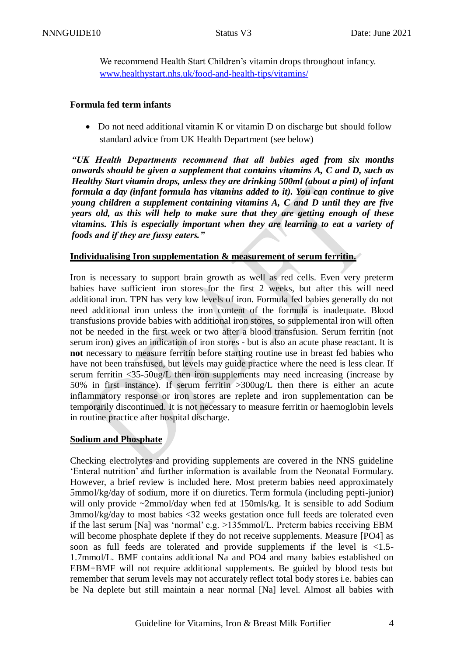We recommend Health Start Children's vitamin drops throughout infancy. [www.healthystart.nhs.uk/food-and-health-tips/vitamins/](http://www.healthystart.nhs.uk/food-and-health-tips/vitamins/)

#### **Formula fed term infants**

• Do not need additional vitamin K or vitamin D on discharge but should follow standard advice from UK Health Department (see below)

*"UK Health Departments recommend that all babies aged from six months onwards should be given a supplement that contains vitamins A, C and D, such as Healthy Start vitamin drops, unless they are drinking 500ml (about a pint) of infant formula a day (infant formula has vitamins added to it). You can continue to give young children a supplement containing vitamins A, C and D until they are five years old, as this will help to make sure that they are getting enough of these vitamins. This is especially important when they are learning to eat a variety of foods and if they are fussy eaters."*

#### **Individualising Iron supplementation & measurement of serum ferritin.**

Iron is necessary to support brain growth as well as red cells. Even very preterm babies have sufficient iron stores for the first 2 weeks, but after this will need additional iron. TPN has very low levels of iron. Formula fed babies generally do not need additional iron unless the iron content of the formula is inadequate. Blood transfusions provide babies with additional iron stores, so supplemental iron will often not be needed in the first week or two after a blood transfusion. Serum ferritin (not serum iron) gives an indication of iron stores - but is also an acute phase reactant. It is **not** necessary to measure ferritin before starting routine use in breast fed babies who have not been transfused, but levels may guide practice where the need is less clear. If serum ferritin <35-50ug/L then iron supplements may need increasing (increase by 50% in first instance). If serum ferritin >300ug/L then there is either an acute inflammatory response or iron stores are replete and iron supplementation can be temporarily discontinued. It is not necessary to measure ferritin or haemoglobin levels in routine practice after hospital discharge.

#### **Sodium and Phosphate**

Checking electrolytes and providing supplements are covered in the NNS guideline 'Enteral nutrition' and further information is available from the Neonatal Formulary. However, a brief review is included here. Most preterm babies need approximately 5mmol/kg/day of sodium, more if on diuretics. Term formula (including pepti-junior) will only provide ~2mmol/day when fed at 150mls/kg. It is sensible to add Sodium 3mmol/kg/day to most babies <32 weeks gestation once full feeds are tolerated even if the last serum [Na] was 'normal' e.g. >135mmol/L. Preterm babies receiving EBM will become phosphate deplete if they do not receive supplements. Measure [PO4] as soon as full feeds are tolerated and provide supplements if the level is <1.5- 1.7mmol/L. BMF contains additional Na and PO4 and many babies established on EBM+BMF will not require additional supplements. Be guided by blood tests but remember that serum levels may not accurately reflect total body stores i.e. babies can be Na deplete but still maintain a near normal [Na] level. Almost all babies with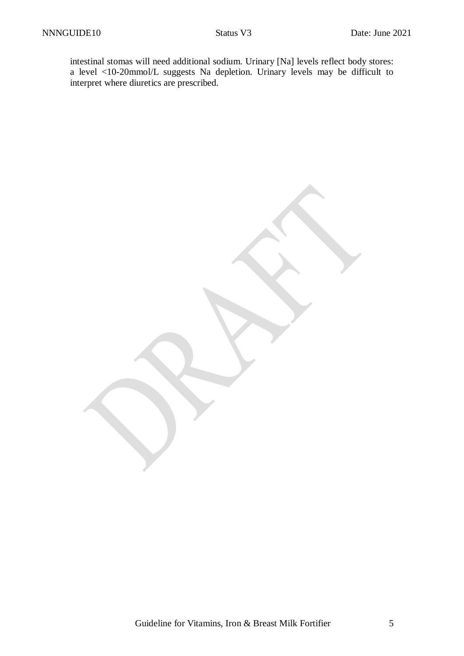intestinal stomas will need additional sodium. Urinary [Na] levels reflect body stores: a level <10-20mmol/L suggests Na depletion. Urinary levels may be difficult to interpret where diuretics are prescribed.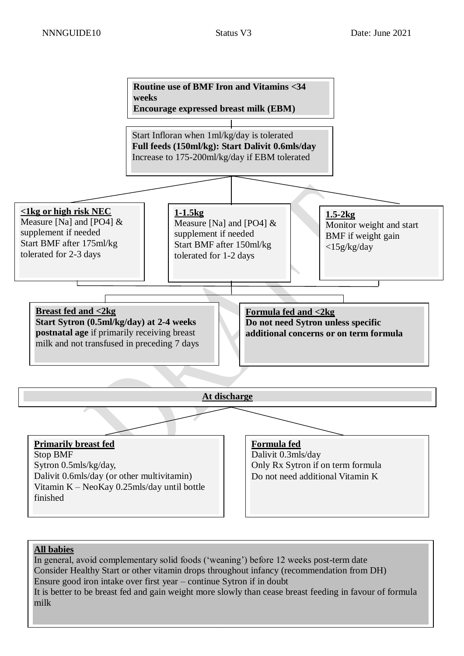

### **All babies** In general, avoid complementary solid foods ('weaning') before 12 weeks post-term date Consider Healthy Start or other vitamin drops throughout infancy (recommendation from DH) Ensure good iron intake over first year – continue Sytron if in doubt It is better to be breast fed and gain weight more slowly than cease breast feeding in favour of formula milk

Guideline for Vitamins, Iron & Breast Milk Fortifier 6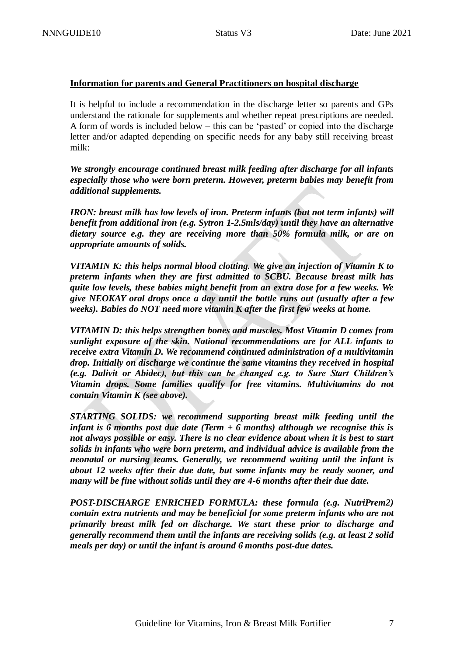#### **Information for parents and General Practitioners on hospital discharge**

It is helpful to include a recommendation in the discharge letter so parents and GPs understand the rationale for supplements and whether repeat prescriptions are needed. A form of words is included below – this can be 'pasted' or copied into the discharge letter and/or adapted depending on specific needs for any baby still receiving breast milk:

*We strongly encourage continued breast milk feeding after discharge for all infants especially those who were born preterm. However, preterm babies may benefit from additional supplements.* 

*IRON: breast milk has low levels of iron. Preterm infants (but not term infants) will benefit from additional iron (e.g. Sytron 1-2.5mls/day) until they have an alternative dietary source e.g. they are receiving more than 50% formula milk, or are on appropriate amounts of solids.*

*VITAMIN K: this helps normal blood clotting. We give an injection of Vitamin K to preterm infants when they are first admitted to SCBU. Because breast milk has quite low levels, these babies might benefit from an extra dose for a few weeks. We give NEOKAY oral drops once a day until the bottle runs out (usually after a few weeks). Babies do NOT need more vitamin K after the first few weeks at home.*

*VITAMIN D: this helps strengthen bones and muscles. Most Vitamin D comes from sunlight exposure of the skin. National recommendations are for ALL infants to receive extra Vitamin D. We recommend continued administration of a multivitamin drop. Initially on discharge we continue the same vitamins they received in hospital (e.g. Dalivit or Abidec), but this can be changed e.g. to Sure Start Children's Vitamin drops. Some families qualify for free vitamins. Multivitamins do not contain Vitamin K (see above).*

*STARTING SOLIDS: we recommend supporting breast milk feeding until the infant is 6 months post due date (Term + 6 months) although we recognise this is not always possible or easy. There is no clear evidence about when it is best to start solids in infants who were born preterm, and individual advice is available from the neonatal or nursing teams. Generally, we recommend waiting until the infant is about 12 weeks after their due date, but some infants may be ready sooner, and many will be fine without solids until they are 4-6 months after their due date.*

*POST-DISCHARGE ENRICHED FORMULA: these formula (e.g. NutriPrem2) contain extra nutrients and may be beneficial for some preterm infants who are not primarily breast milk fed on discharge. We start these prior to discharge and generally recommend them until the infants are receiving solids (e.g. at least 2 solid meals per day) or until the infant is around 6 months post-due dates.*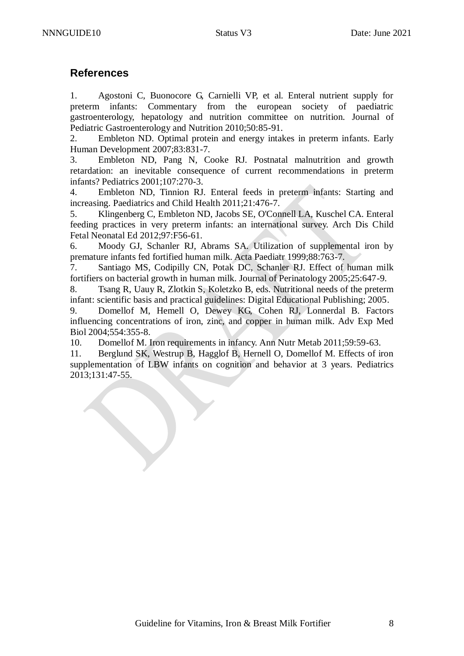### **References**

1. Agostoni C, Buonocore G, Carnielli VP, et al. Enteral nutrient supply for preterm infants: Commentary from the european society of paediatric gastroenterology, hepatology and nutrition committee on nutrition. Journal of Pediatric Gastroenterology and Nutrition 2010;50:85-91.

2. Embleton ND. Optimal protein and energy intakes in preterm infants. Early Human Development 2007;83:831-7.

3. Embleton ND, Pang N, Cooke RJ. Postnatal malnutrition and growth retardation: an inevitable consequence of current recommendations in preterm infants? Pediatrics 2001;107:270-3.

4. Embleton ND, Tinnion RJ. Enteral feeds in preterm infants: Starting and increasing. Paediatrics and Child Health 2011;21:476-7.

5. Klingenberg C, Embleton ND, Jacobs SE, O'Connell LA, Kuschel CA. Enteral feeding practices in very preterm infants: an international survey. Arch Dis Child Fetal Neonatal Ed 2012;97:F56-61.

6. Moody GJ, Schanler RJ, Abrams SA. Utilization of supplemental iron by premature infants fed fortified human milk. Acta Paediatr 1999;88:763-7.

7. Santiago MS, Codipilly CN, Potak DC, Schanler RJ. Effect of human milk fortifiers on bacterial growth in human milk. Journal of Perinatology 2005;25:647-9.

8. Tsang R, Uauy R, Zlotkin S, Koletzko B, eds. Nutritional needs of the preterm infant: scientific basis and practical guidelines: Digital Educational Publishing; 2005.

9. Domellof M, Hemell O, Dewey KG, Cohen RJ, Lonnerdal B. Factors influencing concentrations of iron, zinc, and copper in human milk. Adv Exp Med Biol 2004;554:355-8.

10. Domellof M. Iron requirements in infancy. Ann Nutr Metab 2011;59:59-63.

11. Berglund SK, Westrup B, Hagglof B, Hernell O, Domellof M. Effects of iron supplementation of LBW infants on cognition and behavior at 3 years. Pediatrics 2013;131:47-55.